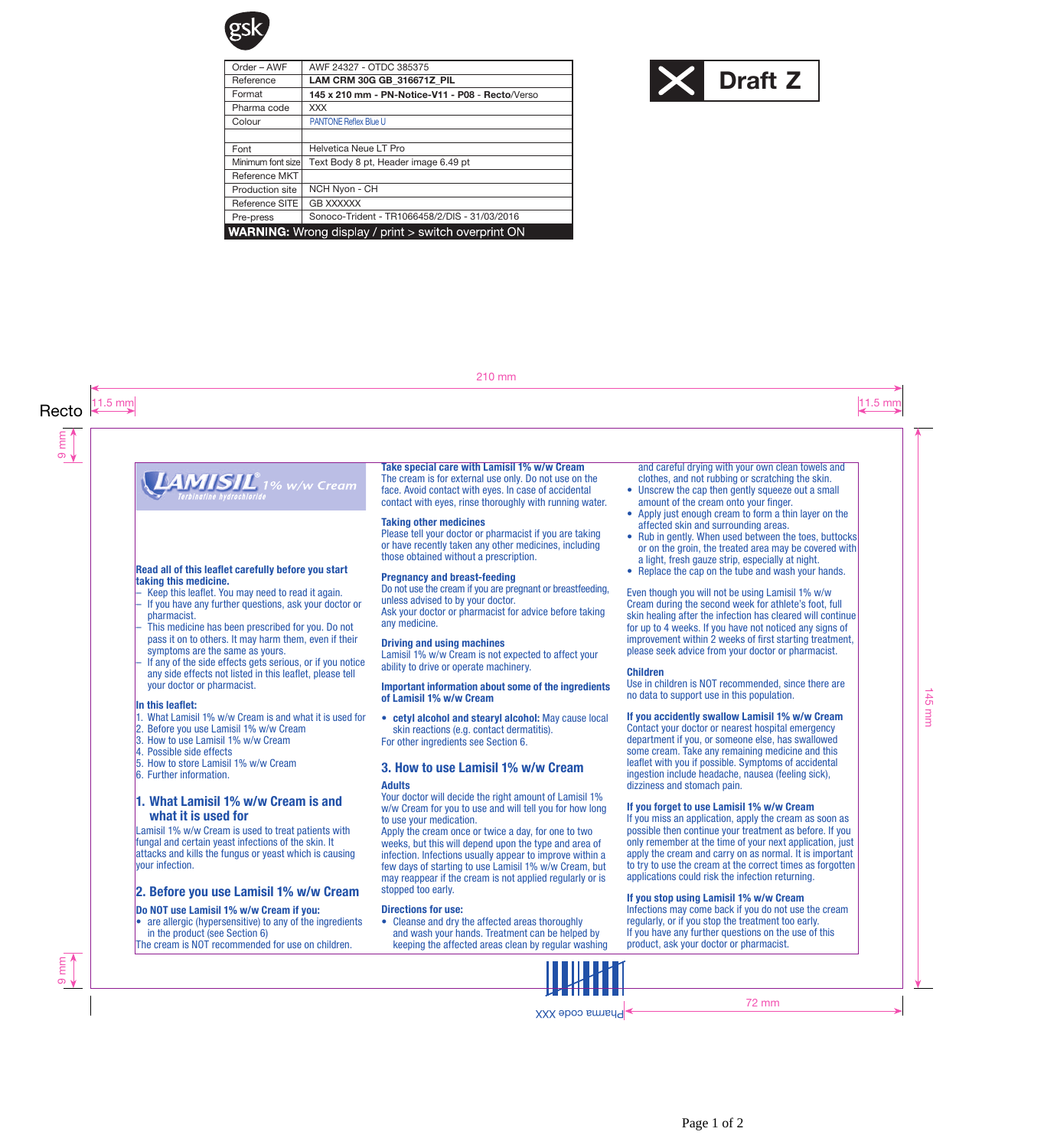